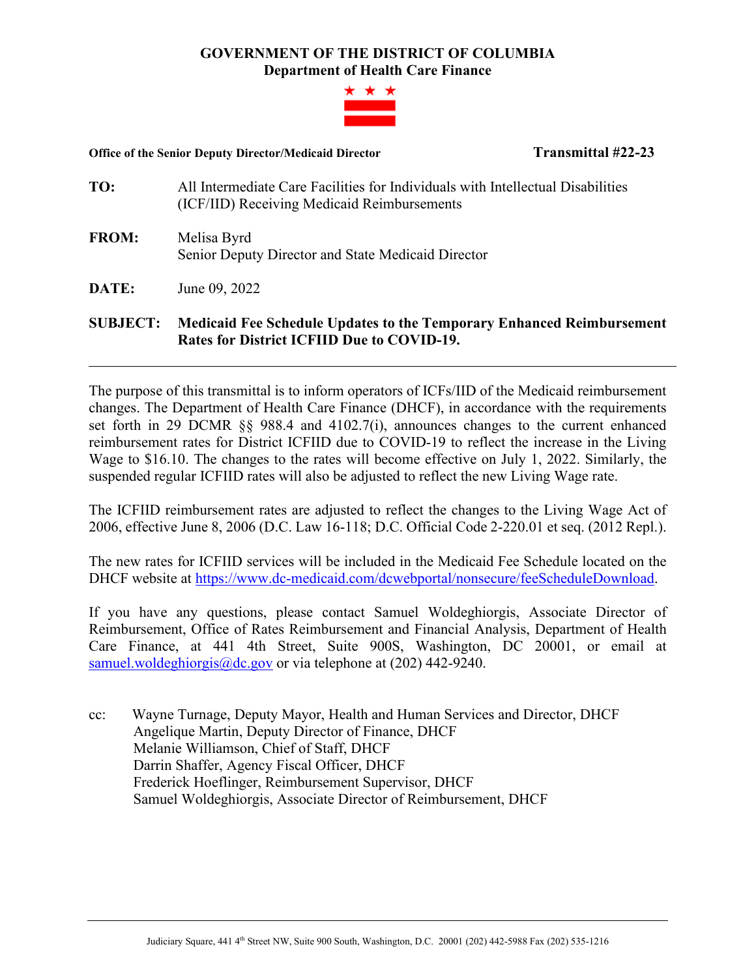## **GOVERNMENT OF THE DISTRICT OF COLUMBIA Department of Health Care Finance**



## **Office of the Senior Deputy Director/Medicaid Director Transmittal #22-23**

- **TO:** All Intermediate Care Facilities for Individuals with Intellectual Disabilities (ICF/IID) Receiving Medicaid Reimbursements
- **FROM:** Melisa Byrd Senior Deputy Director and State Medicaid Director
- **DATE:** June 09, 2022

## **SUBJECT: Medicaid Fee Schedule Updates to the Temporary Enhanced Reimbursement Rates for District ICFIID Due to COVID-19.**

The purpose of this transmittal is to inform operators of ICFs/IID of the Medicaid reimbursement changes. The Department of Health Care Finance (DHCF), in accordance with the requirements set forth in 29 DCMR §§ 988.4 and 4102.7(i), announces changes to the current enhanced reimbursement rates for District ICFIID due to COVID-19 to reflect the increase in the Living Wage to \$16.10. The changes to the rates will become effective on July 1, 2022. Similarly, the suspended regular ICFIID rates will also be adjusted to reflect the new Living Wage rate.

The ICFIID reimbursement rates are adjusted to reflect the changes to the Living Wage Act of 2006, effective June 8, 2006 (D.C. Law 16-118; D.C. Official Code 2-220.01 et seq. (2012 Repl.).

The new rates for ICFIID services will be included in the Medicaid Fee Schedule located on the DHCF website at [https://www.dc-medicaid.com/dcwebportal/nonsecure/feeScheduleDownload.](https://www.dc-medicaid.com/dcwebportal/nonsecure/feeScheduleDownload)

If you have any questions, please contact Samuel Woldeghiorgis, Associate Director of Reimbursement, Office of Rates Reimbursement and Financial Analysis, Department of Health Care Finance, at 441 4th Street, Suite 900S, Washington, DC 20001, or email at [samuel.woldeghiorgis@dc.gov](mailto:samuel.woldeghiorgis@dc.gov) or via telephone at (202) 442-9240.

cc: Wayne Turnage, Deputy Mayor, Health and Human Services and Director, DHCF Angelique Martin, Deputy Director of Finance, DHCF Melanie Williamson, Chief of Staff, DHCF Darrin Shaffer, Agency Fiscal Officer, DHCF Frederick Hoeflinger, Reimbursement Supervisor, DHCF Samuel Woldeghiorgis, Associate Director of Reimbursement, DHCF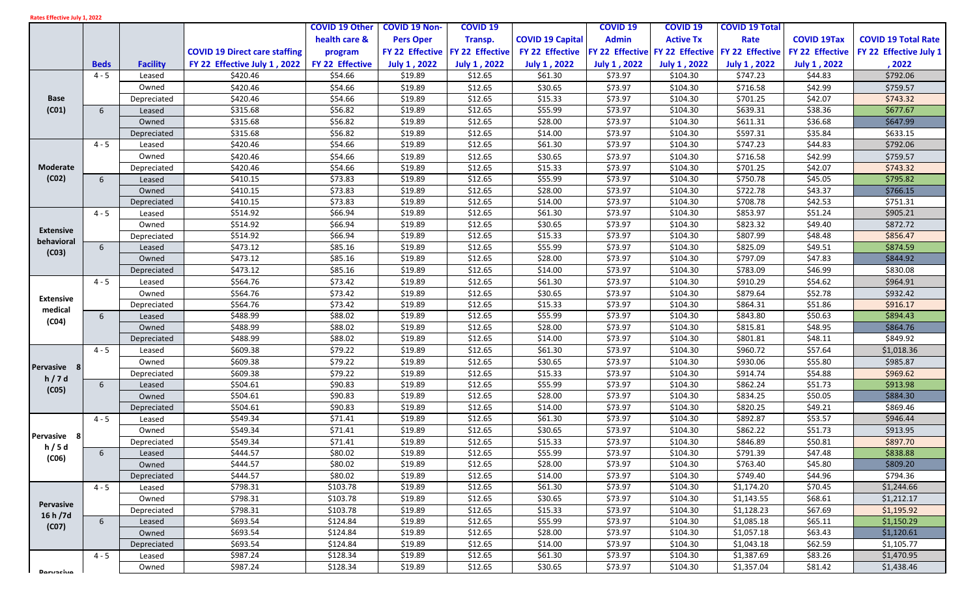| Rates Effective July 1, 2022 |  |  |  |  |  |
|------------------------------|--|--|--|--|--|
|------------------------------|--|--|--|--|--|

|                                |                 |                 |                                      | <b>COVID 19 Other</b> | <b>COVID 19 Non-</b> | <b>COVID 19</b>     |                         | <b>COVID 19</b>    | <b>COVID 19</b>                                 | <b>COVID 19 Total</b>    |                     |                            |
|--------------------------------|-----------------|-----------------|--------------------------------------|-----------------------|----------------------|---------------------|-------------------------|--------------------|-------------------------------------------------|--------------------------|---------------------|----------------------------|
|                                |                 |                 |                                      | health care &         | <b>Pers Oper</b>     | Transp.             | <b>COVID 19 Capital</b> | <b>Admin</b>       | <b>Active Tx</b>                                | Rate                     | <b>COVID 19Tax</b>  | <b>COVID 19 Total Rate</b> |
|                                |                 |                 | <b>COVID 19 Direct care staffing</b> | program               | FY 22 Effective      | FY 22 Effective     | FY 22 Effective         |                    | FY 22 Effective FY 22 Effective FY 22 Effective |                          | FY 22 Effective     | FY 22 Effective July 1     |
|                                | <b>Beds</b>     | <b>Facility</b> | FY 22 Effective July 1, 2022         | FY 22 Effective       | July 1, 2022         | <b>July 1, 2022</b> | <b>July 1, 2022</b>     | July 1, 2022       | <b>July 1, 2022</b>                             | <b>July 1, 2022</b>      | <b>July 1, 2022</b> | , 2022                     |
|                                | $4 - 5$         | Leased          | \$420.46                             | \$54.66               | \$19.89              | \$12.65             | \$61.30                 | \$73.97            | \$104.30                                        | \$747.23                 | \$44.83             | \$792.06                   |
|                                |                 | Owned           | \$420.46                             | \$54.66               | \$19.89              | \$12.65             | \$30.65                 | \$73.97            | \$104.30                                        | \$716.58                 | \$42.99             | \$759.57                   |
| <b>Base</b>                    |                 | Depreciated     | \$420.46                             | \$54.66               | \$19.89              | \$12.65             | \$15.33                 | \$73.97            | \$104.30                                        | \$701.25                 | \$42.07             | \$743.32                   |
| (C01)                          | 6               | Leased          | \$315.68                             | \$56.82               | \$19.89              | \$12.65             | \$55.99                 | \$73.97            | \$104.30                                        | \$639.31                 | \$38.36             | \$677.67                   |
|                                |                 | Owned           | \$315.68                             | \$56.82               | \$19.89              | \$12.65             | \$28.00                 | \$73.97            | \$104.30                                        | \$611.31                 | \$36.68             | \$647.99                   |
|                                |                 | Depreciated     | \$315.68                             | \$56.82               | \$19.89              | \$12.65             | \$14.00                 | \$73.97            | \$104.30                                        | \$597.31                 | \$35.84             | \$633.15                   |
|                                | $4 - 5$         | Leased          | \$420.46                             | \$54.66               | \$19.89              | \$12.65             | \$61.30                 | \$73.97            | \$104.30                                        | \$747.23                 | \$44.83             | \$792.06                   |
|                                |                 | Owned           | \$420.46                             | \$54.66               | \$19.89              | \$12.65             | \$30.65                 | \$73.97            | \$104.30                                        | \$716.58                 | \$42.99             | \$759.57                   |
| Moderate                       |                 | Depreciated     | \$420.46                             | \$54.66               | \$19.89              | \$12.65             | \$15.33                 | \$73.97            | \$104.30                                        | \$701.25                 | \$42.07             | \$743.32                   |
| (C02)                          | 6               | Leased          | \$410.15                             | \$73.83               | \$19.89              | \$12.65             | \$55.99                 | \$73.97            | \$104.30                                        | \$750.78                 | \$45.05             | \$795.82                   |
|                                |                 | Owned           | \$410.15                             | \$73.83               | \$19.89              | \$12.65             | \$28.00                 | \$73.97            | \$104.30                                        | \$722.78                 | \$43.37             | \$766.15                   |
|                                |                 | Depreciated     | \$410.15                             | \$73.83               | \$19.89              | \$12.65             | \$14.00                 | \$73.97            | \$104.30                                        | \$708.78                 | \$42.53             | \$751.31                   |
|                                | $4 - 5$         | Leased          | \$514.92                             | \$66.94               | \$19.89              | \$12.65             | \$61.30                 | \$73.97            | \$104.30                                        | \$853.97                 | \$51.24             | \$905.21                   |
|                                |                 | Owned           | \$514.92                             | \$66.94               | \$19.89              | \$12.65             | \$30.65                 | \$73.97            | \$104.30                                        | \$823.32                 | \$49.40             | \$872.72                   |
| <b>Extensive</b><br>behavioral |                 | Depreciated     | \$514.92                             | \$66.94               | \$19.89              | \$12.65             | \$15.33                 | \$73.97            | \$104.30                                        | \$807.99                 | \$48.48             | \$856.47                   |
| (C03)                          | 6               | Leased          | \$473.12                             | \$85.16               | \$19.89              | \$12.65             | \$55.99                 | \$73.97            | \$104.30                                        | \$825.09                 | \$49.51             | \$874.59                   |
|                                |                 | Owned           | \$473.12                             | \$85.16               | \$19.89              | \$12.65             | \$28.00                 | \$73.97            | \$104.30                                        | \$797.09                 | \$47.83             | \$844.92                   |
|                                |                 | Depreciated     | \$473.12                             | \$85.16               | \$19.89              | \$12.65             | \$14.00                 | \$73.97            | \$104.30                                        | \$783.09                 | \$46.99             | \$830.08                   |
|                                | $4 - 5$         | Leased          | \$564.76                             | \$73.42               | \$19.89              | \$12.65             | \$61.30                 | \$73.97            | \$104.30                                        | \$910.29                 | \$54.62             | \$964.91                   |
| <b>Extensive</b>               |                 | Owned           | \$564.76                             | \$73.42               | \$19.89              | \$12.65             | \$30.65                 | \$73.97            | \$104.30                                        | \$879.64                 | \$52.78             | \$932.42                   |
| medical                        |                 | Depreciated     | \$564.76                             | \$73.42               | \$19.89              | \$12.65             | \$15.33                 | \$73.97            | \$104.30                                        | \$864.31                 | \$51.86             | \$916.17                   |
| (C04)                          | 6               | Leased          | \$488.99                             | \$88.02               | \$19.89              | \$12.65             | \$55.99                 | \$73.97            | \$104.30                                        | \$843.80                 | \$50.63             | \$894.43                   |
|                                |                 | Owned           | \$488.99                             | \$88.02               | \$19.89              | \$12.65             | \$28.00                 | \$73.97            | \$104.30                                        | \$815.81                 | \$48.95             | \$864.76                   |
|                                |                 | Depreciated     | \$488.99                             | \$88.02               | \$19.89              | \$12.65             | \$14.00                 | \$73.97            | \$104.30                                        | \$801.81                 | \$48.11             | \$849.92                   |
|                                | $4 - 5$         | Leased          | \$609.38                             | \$79.22               | \$19.89              | \$12.65             | \$61.30                 | \$73.97            | \$104.30                                        | \$960.72                 | \$57.64             | \$1,018.36                 |
| Pervasive                      |                 | Owned           | \$609.38                             | \$79.22               | \$19.89              | \$12.65             | \$30.65                 | \$73.97            | \$104.30                                        | \$930.06                 | \$55.80             | \$985.87                   |
| h/7d                           |                 | Depreciated     | \$609.38                             | \$79.22               | \$19.89              | \$12.65             | \$15.33                 | \$73.97            | \$104.30                                        | \$914.74                 | \$54.88             | \$969.62                   |
| (C05)                          | 6               | Leased          | \$504.61                             | \$90.83               | \$19.89              | \$12.65             | \$55.99                 | \$73.97            | \$104.30                                        | \$862.24                 | \$51.73             | \$913.98                   |
|                                |                 | Owned           | \$504.61                             | \$90.83               | \$19.89              | \$12.65             | \$28.00                 | \$73.97            | \$104.30                                        | \$834.25                 | \$50.05             | \$884.30                   |
|                                |                 | Depreciated     | \$504.61                             | \$90.83               | \$19.89              | \$12.65             | \$14.00                 | \$73.97            | \$104.30                                        | \$820.25                 | \$49.21             | \$869.46                   |
|                                | $4 - 5$         | Leased          | \$549.34                             | \$71.41               | \$19.89              | \$12.65             | \$61.30                 | \$73.97            | \$104.30                                        | \$892.87                 | \$53.57             | \$946.44                   |
| Pervasive 8                    |                 | Owned           | \$549.34                             | \$71.41               | \$19.89              | \$12.65             | \$30.65                 | \$73.97            | \$104.30                                        | \$862.22                 | \$51.73             | \$913.95                   |
| h/5d                           |                 | Depreciated     | \$549.34                             | \$71.41               | \$19.89              | \$12.65             | \$15.33                 | \$73.97            | \$104.30                                        | \$846.89                 | \$50.81             | \$897.70                   |
| (C06)                          | $6\overline{6}$ | Leased          | \$444.57<br>\$444.57                 | \$80.02               | \$19.89              | \$12.65             | \$55.99                 | \$73.97            | \$104.30                                        | \$791.39                 | \$47.48             | \$838.88                   |
|                                |                 | Owned           |                                      | \$80.02               | \$19.89              | \$12.65             | \$28.00                 | \$73.97            | \$104.30                                        | \$763.40                 | \$45.80             | \$809.20                   |
|                                | $4 - 5$         | Depreciated     | \$444.57<br>\$798.31                 | \$80.02<br>\$103.78   | \$19.89<br>\$19.89   | \$12.65             | \$14.00<br>\$61.30      | \$73.97<br>\$73.97 | \$104.30<br>\$104.30                            | \$749.40                 | \$44.96<br>\$70.45  | \$794.36<br>\$1,244.66     |
|                                |                 | Leased<br>Owned | \$798.31                             | \$103.78              | \$19.89              | \$12.65             | \$30.65                 | \$73.97            | \$104.30                                        | \$1,174.20<br>\$1,143.55 | \$68.61             | \$1,212.17                 |
| Pervasive                      |                 | Depreciated     | \$798.31                             | \$103.78              | \$19.89              | \$12.65<br>\$12.65  | \$15.33                 | \$73.97            | \$104.30                                        | \$1,128.23               | \$67.69             | \$1,195.92                 |
| 16 h /7d                       | 6               |                 | \$693.54                             | \$124.84              | \$19.89              | \$12.65             | \$55.99                 | \$73.97            | \$104.30                                        | \$1,085.18               | \$65.11             | \$1,150.29                 |
| (C07)                          |                 | Leased<br>Owned | \$693.54                             | \$124.84              | \$19.89              | \$12.65             | \$28.00                 | \$73.97            | \$104.30                                        | \$1,057.18               | \$63.43             | \$1,120.61                 |
|                                |                 | Depreciated     | \$693.54                             | \$124.84              | \$19.89              | \$12.65             | \$14.00                 | \$73.97            | \$104.30                                        | \$1,043.18               | \$62.59             | \$1,105.77                 |
|                                | $4 - 5$         | Leased          | \$987.24                             | \$128.34              | \$19.89              | \$12.65             | \$61.30                 | \$73.97            | \$104.30                                        | \$1,387.69               | \$83.26             | \$1,470.95                 |
|                                |                 | Owned           | \$987.24                             | \$128.34              | \$19.89              | \$12.65             | \$30.65                 | \$73.97            | \$104.30                                        | \$1,357.04               | \$81.42             | \$1,438.46                 |
| Darvaciva                      |                 |                 |                                      |                       |                      |                     |                         |                    |                                                 |                          |                     |                            |